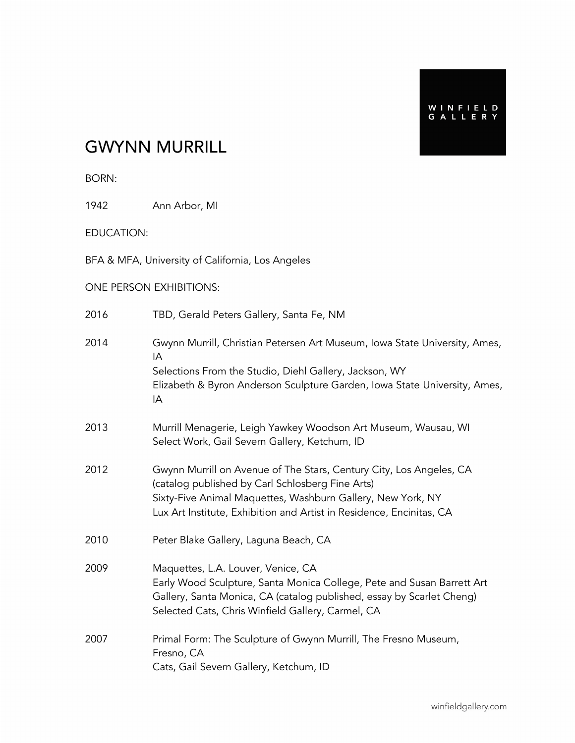## GWYNN MURRILL

BORN:

1942 Ann Arbor, MI

EDUCATION:

BFA & MFA, University of California, Los Angeles

#### ONE PERSON EXHIBITIONS:

2016 TBD, Gerald Peters Gallery, Santa Fe, NM

| 2014 | Gwynn Murrill, Christian Petersen Art Museum, Iowa State University, Ames,<br>IA                                                                                                                                                                               |
|------|----------------------------------------------------------------------------------------------------------------------------------------------------------------------------------------------------------------------------------------------------------------|
|      | Selections From the Studio, Diehl Gallery, Jackson, WY<br>Elizabeth & Byron Anderson Sculpture Garden, Iowa State University, Ames,<br>IA                                                                                                                      |
| 2013 | Murrill Menagerie, Leigh Yawkey Woodson Art Museum, Wausau, WI<br>Select Work, Gail Severn Gallery, Ketchum, ID                                                                                                                                                |
| 2012 | Gwynn Murrill on Avenue of The Stars, Century City, Los Angeles, CA<br>(catalog published by Carl Schlosberg Fine Arts)<br>Sixty-Five Animal Maquettes, Washburn Gallery, New York, NY<br>Lux Art Institute, Exhibition and Artist in Residence, Encinitas, CA |
| 2010 | Peter Blake Gallery, Laguna Beach, CA                                                                                                                                                                                                                          |
| 2009 | Maquettes, L.A. Louver, Venice, CA<br>Early Wood Sculpture, Santa Monica College, Pete and Susan Barrett Art<br>Gallery, Santa Monica, CA (catalog published, essay by Scarlet Cheng)<br>Selected Cats, Chris Winfield Gallery, Carmel, CA                     |
| 2007 | Primal Form: The Sculpture of Gwynn Murrill, The Fresno Museum,<br>Fresno, CA<br>Cats, Gail Severn Gallery, Ketchum, ID                                                                                                                                        |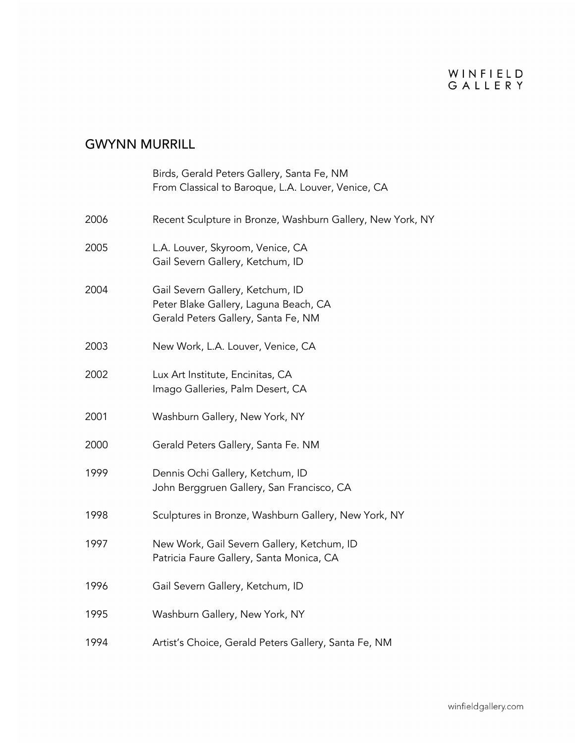|      | Birds, Gerald Peters Gallery, Santa Fe, NM<br>From Classical to Baroque, L.A. Louver, Venice, CA                 |
|------|------------------------------------------------------------------------------------------------------------------|
| 2006 | Recent Sculpture in Bronze, Washburn Gallery, New York, NY                                                       |
| 2005 | L.A. Louver, Skyroom, Venice, CA<br>Gail Severn Gallery, Ketchum, ID                                             |
| 2004 | Gail Severn Gallery, Ketchum, ID<br>Peter Blake Gallery, Laguna Beach, CA<br>Gerald Peters Gallery, Santa Fe, NM |
| 2003 | New Work, L.A. Louver, Venice, CA                                                                                |
| 2002 | Lux Art Institute, Encinitas, CA<br>Imago Galleries, Palm Desert, CA                                             |
| 2001 | Washburn Gallery, New York, NY                                                                                   |
| 2000 | Gerald Peters Gallery, Santa Fe. NM                                                                              |
| 1999 | Dennis Ochi Gallery, Ketchum, ID<br>John Berggruen Gallery, San Francisco, CA                                    |
| 1998 | Sculptures in Bronze, Washburn Gallery, New York, NY                                                             |
| 1997 | New Work, Gail Severn Gallery, Ketchum, ID<br>Patricia Faure Gallery, Santa Monica, CA                           |
| 1996 | Gail Severn Gallery, Ketchum, ID                                                                                 |
| 1995 | Washburn Gallery, New York, NY                                                                                   |
| 1994 | Artist's Choice, Gerald Peters Gallery, Santa Fe, NM                                                             |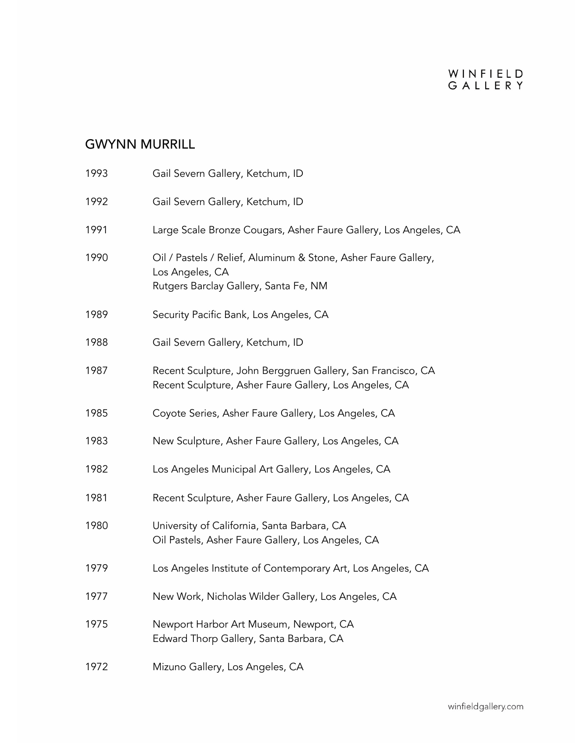| 1993 | Gail Severn Gallery, Ketchum, ID                                                                                           |
|------|----------------------------------------------------------------------------------------------------------------------------|
| 1992 | Gail Severn Gallery, Ketchum, ID                                                                                           |
| 1991 | Large Scale Bronze Cougars, Asher Faure Gallery, Los Angeles, CA                                                           |
| 1990 | Oil / Pastels / Relief, Aluminum & Stone, Asher Faure Gallery,<br>Los Angeles, CA<br>Rutgers Barclay Gallery, Santa Fe, NM |
| 1989 | Security Pacific Bank, Los Angeles, CA                                                                                     |
| 1988 | Gail Severn Gallery, Ketchum, ID                                                                                           |
| 1987 | Recent Sculpture, John Berggruen Gallery, San Francisco, CA<br>Recent Sculpture, Asher Faure Gallery, Los Angeles, CA      |
| 1985 | Coyote Series, Asher Faure Gallery, Los Angeles, CA                                                                        |
| 1983 | New Sculpture, Asher Faure Gallery, Los Angeles, CA                                                                        |
| 1982 | Los Angeles Municipal Art Gallery, Los Angeles, CA                                                                         |
| 1981 | Recent Sculpture, Asher Faure Gallery, Los Angeles, CA                                                                     |
| 1980 | University of California, Santa Barbara, CA<br>Oil Pastels, Asher Faure Gallery, Los Angeles, CA                           |
| 1979 | Los Angeles Institute of Contemporary Art, Los Angeles, CA                                                                 |
| 1977 | New Work, Nicholas Wilder Gallery, Los Angeles, CA                                                                         |
| 1975 | Newport Harbor Art Museum, Newport, CA<br>Edward Thorp Gallery, Santa Barbara, CA                                          |
| 1972 | Mizuno Gallery, Los Angeles, CA                                                                                            |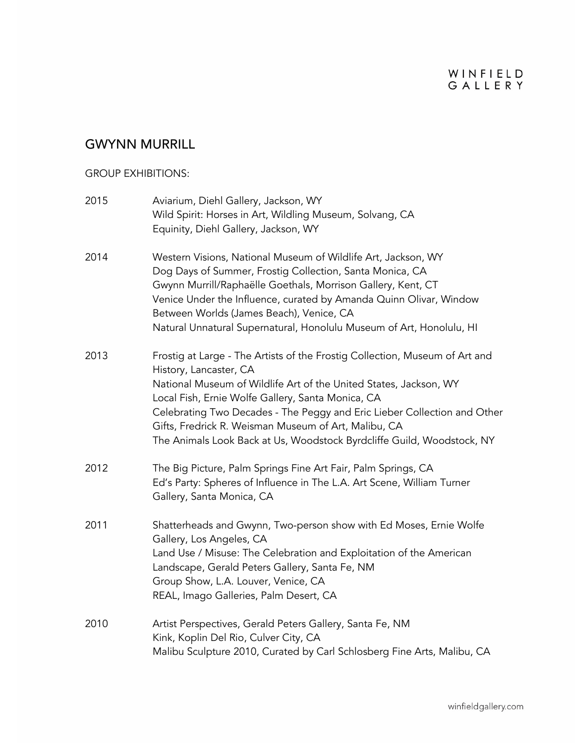### GWYNN MURRILL

#### GROUP EXHIBITIONS:

| 2015 | Aviarium, Diehl Gallery, Jackson, WY<br>Wild Spirit: Horses in Art, Wildling Museum, Solvang, CA<br>Equinity, Diehl Gallery, Jackson, WY                                                                                                                                                                                                                                                                                                      |
|------|-----------------------------------------------------------------------------------------------------------------------------------------------------------------------------------------------------------------------------------------------------------------------------------------------------------------------------------------------------------------------------------------------------------------------------------------------|
| 2014 | Western Visions, National Museum of Wildlife Art, Jackson, WY<br>Dog Days of Summer, Frostig Collection, Santa Monica, CA<br>Gwynn Murrill/Raphaëlle Goethals, Morrison Gallery, Kent, CT<br>Venice Under the Influence, curated by Amanda Quinn Olivar, Window<br>Between Worlds (James Beach), Venice, CA<br>Natural Unnatural Supernatural, Honolulu Museum of Art, Honolulu, HI                                                           |
| 2013 | Frostig at Large - The Artists of the Frostig Collection, Museum of Art and<br>History, Lancaster, CA<br>National Museum of Wildlife Art of the United States, Jackson, WY<br>Local Fish, Ernie Wolfe Gallery, Santa Monica, CA<br>Celebrating Two Decades - The Peggy and Eric Lieber Collection and Other<br>Gifts, Fredrick R. Weisman Museum of Art, Malibu, CA<br>The Animals Look Back at Us, Woodstock Byrdcliffe Guild, Woodstock, NY |
| 2012 | The Big Picture, Palm Springs Fine Art Fair, Palm Springs, CA<br>Ed's Party: Spheres of Influence in The L.A. Art Scene, William Turner<br>Gallery, Santa Monica, CA                                                                                                                                                                                                                                                                          |
| 2011 | Shatterheads and Gwynn, Two-person show with Ed Moses, Ernie Wolfe<br>Gallery, Los Angeles, CA<br>Land Use / Misuse: The Celebration and Exploitation of the American<br>Landscape, Gerald Peters Gallery, Santa Fe, NM<br>Group Show, L.A. Louver, Venice, CA<br>REAL, Imago Galleries, Palm Desert, CA                                                                                                                                      |
| 2010 | Artist Perspectives, Gerald Peters Gallery, Santa Fe, NM<br>Kink, Koplin Del Rio, Culver City, CA<br>Malibu Sculpture 2010, Curated by Carl Schlosberg Fine Arts, Malibu, CA                                                                                                                                                                                                                                                                  |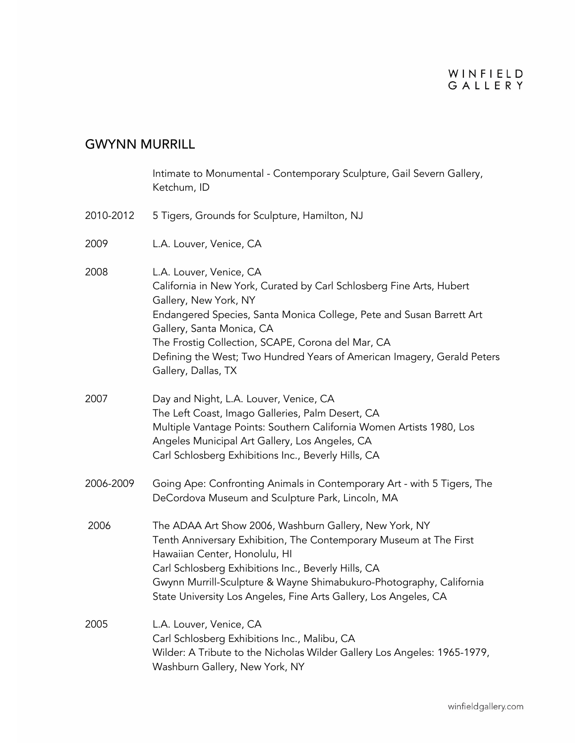### WINFIELD GALLERY

#### GWYNN MURRILL

Intimate to Monumental - Contemporary Sculpture, Gail Severn Gallery, Ketchum, ID 2010-2012 5 Tigers, Grounds for Sculpture, Hamilton, NJ 2009 L.A. Louver, Venice, CA 2008 L.A. Louver, Venice, CA California in New York, Curated by Carl Schlosberg Fine Arts, Hubert Gallery, New York, NY Endangered Species, Santa Monica College, Pete and Susan Barrett Art Gallery, Santa Monica, CA The Frostig Collection, SCAPE, Corona del Mar, CA Defining the West; Two Hundred Years of American Imagery, Gerald Peters Gallery, Dallas, TX 2007 Day and Night, L.A. Louver, Venice, CA The Left Coast, Imago Galleries, Palm Desert, CA Multiple Vantage Points: Southern California Women Artists 1980, Los Angeles Municipal Art Gallery, Los Angeles, CA Carl Schlosberg Exhibitions Inc., Beverly Hills, CA 2006-2009 Going Ape: Confronting Animals in Contemporary Art - with 5 Tigers, The DeCordova Museum and Sculpture Park, Lincoln, MA 2006 The ADAA Art Show 2006, Washburn Gallery, New York, NY Tenth Anniversary Exhibition, The Contemporary Museum at The First Hawaiian Center, Honolulu, HI Carl Schlosberg Exhibitions Inc., Beverly Hills, CA Gwynn Murrill-Sculpture & Wayne Shimabukuro-Photography, California State University Los Angeles, Fine Arts Gallery, Los Angeles, CA 2005 L.A. Louver, Venice, CA Carl Schlosberg Exhibitions Inc., Malibu, CA Wilder: A Tribute to the Nicholas Wilder Gallery Los Angeles: 1965-1979, Washburn Gallery, New York, NY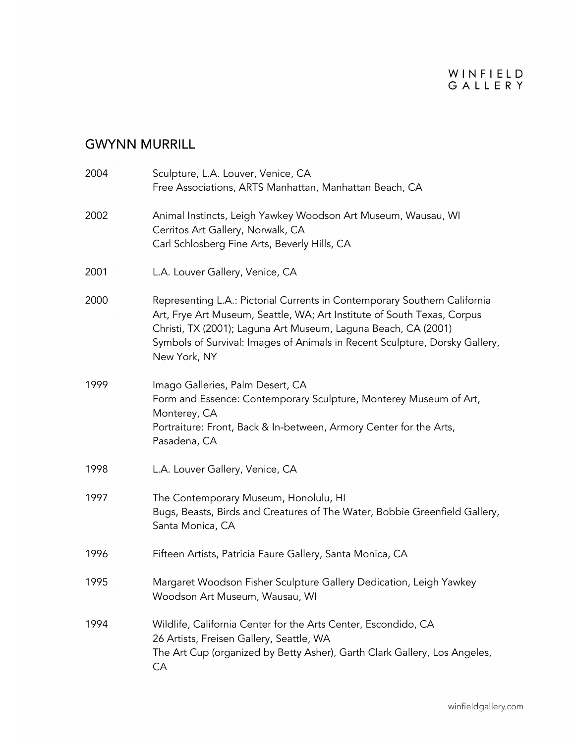| 2004 | Sculpture, L.A. Louver, Venice, CA<br>Free Associations, ARTS Manhattan, Manhattan Beach, CA                                                                                                                                                                                                                          |
|------|-----------------------------------------------------------------------------------------------------------------------------------------------------------------------------------------------------------------------------------------------------------------------------------------------------------------------|
| 2002 | Animal Instincts, Leigh Yawkey Woodson Art Museum, Wausau, WI<br>Cerritos Art Gallery, Norwalk, CA<br>Carl Schlosberg Fine Arts, Beverly Hills, CA                                                                                                                                                                    |
| 2001 | L.A. Louver Gallery, Venice, CA                                                                                                                                                                                                                                                                                       |
| 2000 | Representing L.A.: Pictorial Currents in Contemporary Southern California<br>Art, Frye Art Museum, Seattle, WA; Art Institute of South Texas, Corpus<br>Christi, TX (2001); Laguna Art Museum, Laguna Beach, CA (2001)<br>Symbols of Survival: Images of Animals in Recent Sculpture, Dorsky Gallery,<br>New York, NY |
| 1999 | Imago Galleries, Palm Desert, CA<br>Form and Essence: Contemporary Sculpture, Monterey Museum of Art,<br>Monterey, CA<br>Portraiture: Front, Back & In-between, Armory Center for the Arts,<br>Pasadena, CA                                                                                                           |
| 1998 | L.A. Louver Gallery, Venice, CA                                                                                                                                                                                                                                                                                       |
| 1997 | The Contemporary Museum, Honolulu, HI<br>Bugs, Beasts, Birds and Creatures of The Water, Bobbie Greenfield Gallery,<br>Santa Monica, CA                                                                                                                                                                               |
| 1996 | Fifteen Artists, Patricia Faure Gallery, Santa Monica, CA                                                                                                                                                                                                                                                             |
| 1995 | Margaret Woodson Fisher Sculpture Gallery Dedication, Leigh Yawkey<br>Woodson Art Museum, Wausau, WI                                                                                                                                                                                                                  |
| 1994 | Wildlife, California Center for the Arts Center, Escondido, CA<br>26 Artists, Freisen Gallery, Seattle, WA<br>The Art Cup (organized by Betty Asher), Garth Clark Gallery, Los Angeles,<br>CA                                                                                                                         |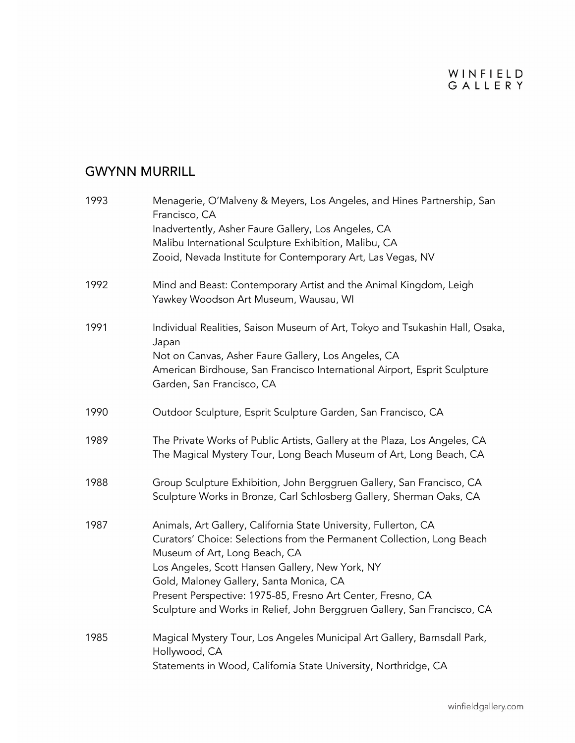| 1993 | Menagerie, O'Malveny & Meyers, Los Angeles, and Hines Partnership, San<br>Francisco, CA<br>Inadvertently, Asher Faure Gallery, Los Angeles, CA   |
|------|--------------------------------------------------------------------------------------------------------------------------------------------------|
|      | Malibu International Sculpture Exhibition, Malibu, CA                                                                                            |
|      | Zooid, Nevada Institute for Contemporary Art, Las Vegas, NV                                                                                      |
| 1992 | Mind and Beast: Contemporary Artist and the Animal Kingdom, Leigh<br>Yawkey Woodson Art Museum, Wausau, WI                                       |
| 1991 | Individual Realities, Saison Museum of Art, Tokyo and Tsukashin Hall, Osaka,<br>Japan                                                            |
|      | Not on Canvas, Asher Faure Gallery, Los Angeles, CA                                                                                              |
|      | American Birdhouse, San Francisco International Airport, Esprit Sculpture<br>Garden, San Francisco, CA                                           |
| 1990 | Outdoor Sculpture, Esprit Sculpture Garden, San Francisco, CA                                                                                    |
| 1989 | The Private Works of Public Artists, Gallery at the Plaza, Los Angeles, CA<br>The Magical Mystery Tour, Long Beach Museum of Art, Long Beach, CA |
| 1988 | Group Sculpture Exhibition, John Berggruen Gallery, San Francisco, CA<br>Sculpture Works in Bronze, Carl Schlosberg Gallery, Sherman Oaks, CA    |
| 1987 | Animals, Art Gallery, California State University, Fullerton, CA                                                                                 |
|      | Curators' Choice: Selections from the Permanent Collection, Long Beach<br>Museum of Art, Long Beach, CA                                          |
|      | Los Angeles, Scott Hansen Gallery, New York, NY                                                                                                  |
|      | Gold, Maloney Gallery, Santa Monica, CA                                                                                                          |
|      | Present Perspective: 1975-85, Fresno Art Center, Fresno, CA                                                                                      |
|      | Sculpture and Works in Relief, John Berggruen Gallery, San Francisco, CA                                                                         |
| 1985 | Magical Mystery Tour, Los Angeles Municipal Art Gallery, Barnsdall Park,<br>Hollywood, CA                                                        |
|      | Statements in Wood, California State University, Northridge, CA                                                                                  |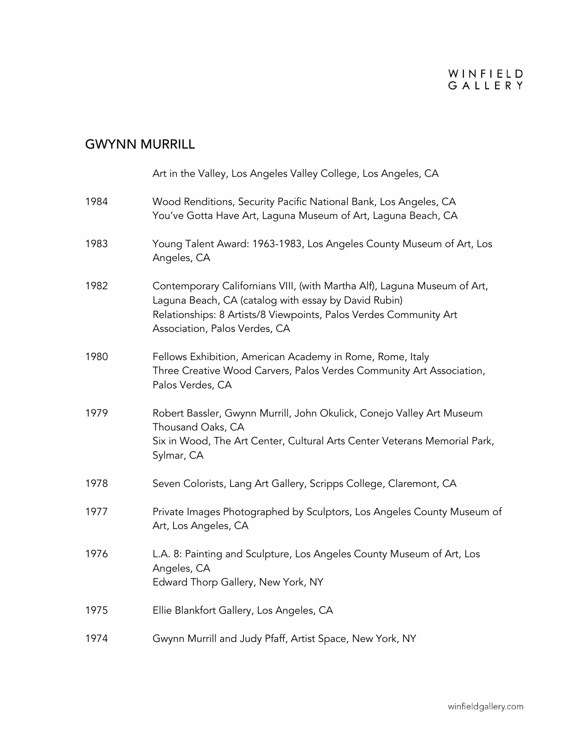|      | Art in the Valley, Los Angeles Valley College, Los Angeles, CA                                                                                                                                                                         |
|------|----------------------------------------------------------------------------------------------------------------------------------------------------------------------------------------------------------------------------------------|
| 1984 | Wood Renditions, Security Pacific National Bank, Los Angeles, CA<br>You've Gotta Have Art, Laguna Museum of Art, Laguna Beach, CA                                                                                                      |
| 1983 | Young Talent Award: 1963-1983, Los Angeles County Museum of Art, Los<br>Angeles, CA                                                                                                                                                    |
| 1982 | Contemporary Californians VIII, (with Martha Alf), Laguna Museum of Art,<br>Laguna Beach, CA (catalog with essay by David Rubin)<br>Relationships: 8 Artists/8 Viewpoints, Palos Verdes Community Art<br>Association, Palos Verdes, CA |
| 1980 | Fellows Exhibition, American Academy in Rome, Rome, Italy<br>Three Creative Wood Carvers, Palos Verdes Community Art Association,<br>Palos Verdes, CA                                                                                  |
| 1979 | Robert Bassler, Gwynn Murrill, John Okulick, Conejo Valley Art Museum<br>Thousand Oaks, CA<br>Six in Wood, The Art Center, Cultural Arts Center Veterans Memorial Park,<br>Sylmar, CA                                                  |
| 1978 | Seven Colorists, Lang Art Gallery, Scripps College, Claremont, CA                                                                                                                                                                      |
| 1977 | Private Images Photographed by Sculptors, Los Angeles County Museum of<br>Art, Los Angeles, CA                                                                                                                                         |
| 1976 | L.A. 8: Painting and Sculpture, Los Angeles County Museum of Art, Los<br>Angeles, CA<br>Edward Thorp Gallery, New York, NY                                                                                                             |
| 1975 | Ellie Blankfort Gallery, Los Angeles, CA                                                                                                                                                                                               |
| 1974 | Gwynn Murrill and Judy Pfaff, Artist Space, New York, NY                                                                                                                                                                               |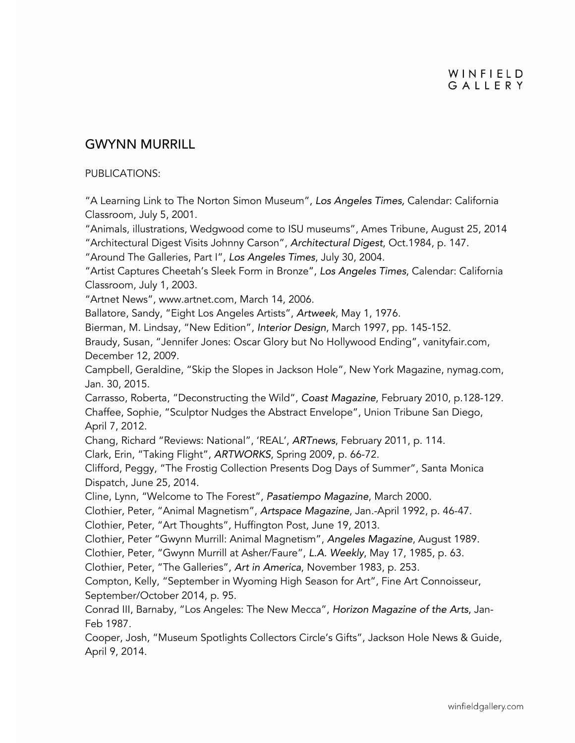#### PUBLICATIONS:

"A Learning Link to The Norton Simon Museum", *Los Angeles Times,* Calendar: California Classroom, July 5, 2001.

"Animals, illustrations, Wedgwood come to ISU museums", Ames Tribune, August 25, 2014 "Architectural Digest Visits Johnny Carson", *Architectural Digest*, Oct.1984, p. 147.

"Around The Galleries, Part I", *Los Angeles Times*, July 30, 2004.

"Artist Captures Cheetah's Sleek Form in Bronze", *Los Angeles Times*, Calendar: California Classroom, July 1, 2003.

"Artnet News", www.artnet.com, March 14, 2006.

Ballatore, Sandy, "Eight Los Angeles Artists", *Artweek*, May 1, 1976.

Bierman, M. Lindsay, "New Edition", *Interior Design*, March 1997, pp. 145-152.

Braudy, Susan, "Jennifer Jones: Oscar Glory but No Hollywood Ending", vanityfair.com, December 12, 2009.

Campbell, Geraldine, "Skip the Slopes in Jackson Hole", New York Magazine, nymag.com, Jan. 30, 2015.

Carrasso, Roberta, "Deconstructing the Wild", *Coast Magazine*, February 2010, p.128-129. Chaffee, Sophie, "Sculptor Nudges the Abstract Envelope", Union Tribune San Diego, April 7, 2012.

Chang, Richard "Reviews: National", 'REAL', *ARTnews*, February 2011, p. 114.

Clark, Erin, "Taking Flight", *ARTWORKS*, Spring 2009, p. 66-72.

Clifford, Peggy, "The Frostig Collection Presents Dog Days of Summer", Santa Monica Dispatch, June 25, 2014.

Cline, Lynn, "Welcome to The Forest", *Pasatiempo Magazine*, March 2000.

Clothier, Peter, "Animal Magnetism", *Artspace Magazine*, Jan.-April 1992, p. 46-47.

Clothier, Peter, "Art Thoughts", Huffington Post, June 19, 2013.

Clothier, Peter "Gwynn Murrill: Animal Magnetism", *Angeles Magazine*, August 1989.

Clothier, Peter, "Gwynn Murrill at Asher/Faure", *L.A. Weekly*, May 17, 1985, p. 63.

Clothier, Peter, "The Galleries", *Art in America*, November 1983, p. 253.

Compton, Kelly, "September in Wyoming High Season for Art", Fine Art Connoisseur, September/October 2014, p. 95.

Conrad III, Barnaby, "Los Angeles: The New Mecca", *Horizon Magazine of the Arts*, Jan-Feb 1987.

Cooper, Josh, "Museum Spotlights Collectors Circle's Gifts", Jackson Hole News & Guide, April 9, 2014.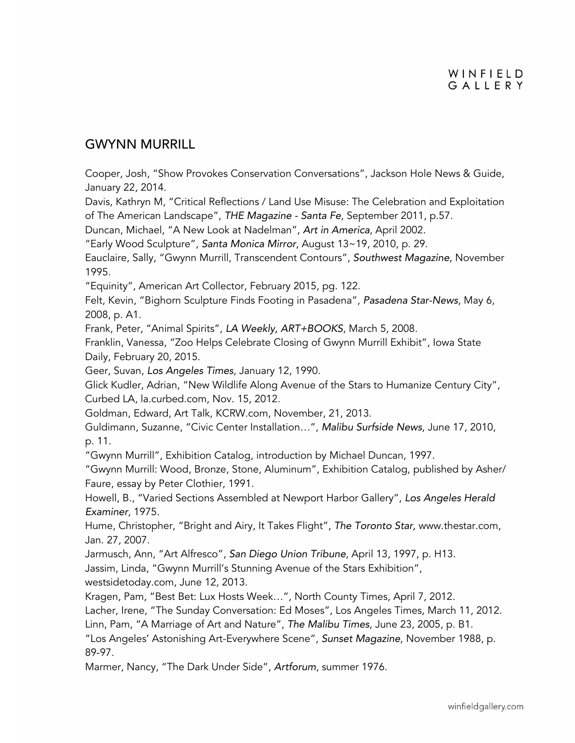Cooper, Josh, "Show Provokes Conservation Conversations", Jackson Hole News & Guide, January 22, 2014.

Davis, Kathryn M, "Critical Reflections / Land Use Misuse: The Celebration and Exploitation of The American Landscape", *THE Magazine - Santa Fe*, September 2011, p.57.

Duncan, Michael, "A New Look at Nadelman", *Art in America*, April 2002.

"Early Wood Sculpture", *Santa Monica Mirror*, August 13~19, 2010, p. 29.

Eauclaire, Sally, "Gwynn Murrill, Transcendent Contours", *Southwest Magazine*, November 1995.

"Equinity", American Art Collector, February 2015, pg. 122.

Felt, Kevin, "Bighorn Sculpture Finds Footing in Pasadena", *Pasadena Star-News*, May 6, 2008, p. A1.

Frank, Peter, "Animal Spirits", *LA Weekly, ART+BOOKS*, March 5, 2008.

Franklin, Vanessa, "Zoo Helps Celebrate Closing of Gwynn Murrill Exhibit", Iowa State Daily, February 20, 2015.

Geer, Suvan, *Los Angeles Times*, January 12, 1990.

Glick Kudler, Adrian, "New Wildlife Along Avenue of the Stars to Humanize Century City", Curbed LA, la.curbed.com, Nov. 15, 2012.

Goldman, Edward, Art Talk, KCRW.com, November, 21, 2013.

Guldimann, Suzanne, "Civic Center Installation…", *Malibu Surfside News*, June 17, 2010, p. 11.

"Gwynn Murrill", Exhibition Catalog, introduction by Michael Duncan, 1997.

"Gwynn Murrill: Wood, Bronze, Stone, Aluminum", Exhibition Catalog, published by Asher/ Faure, essay by Peter Clothier, 1991.

Howell, B., "Varied Sections Assembled at Newport Harbor Gallery", *Los Angeles Herald Examiner*, 1975.

Hume, Christopher, "Bright and Airy, It Takes Flight", *The Toronto Star,* www.thestar.com, Jan. 27, 2007.

Jarmusch, Ann, "Art Alfresco", *San Diego Union Tribune*, April 13, 1997, p. H13.

Jassim, Linda, "Gwynn Murrill's Stunning Avenue of the Stars Exhibition",

westsidetoday.com, June 12, 2013.

Kragen, Pam, "Best Bet: Lux Hosts Week…", North County Times, April 7, 2012.

Lacher, Irene, "The Sunday Conversation: Ed Moses", Los Angeles Times, March 11, 2012.

Linn, Pam, "A Marriage of Art and Nature", *The Malibu Times*, June 23, 2005, p. B1.

"Los Angeles' Astonishing Art-Everywhere Scene", *Sunset Magazine*, November 1988, p. 89-97.

Marmer, Nancy, "The Dark Under Side", *Artforum*, summer 1976.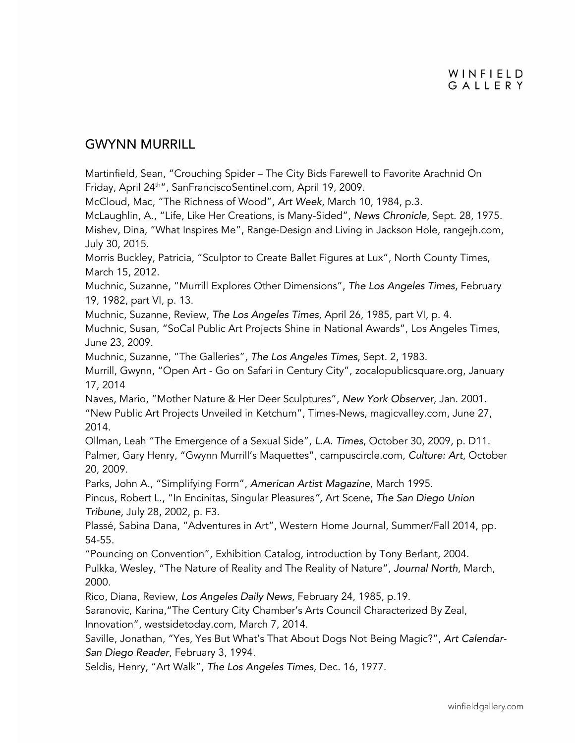Martinfield, Sean, "Crouching Spider – The City Bids Farewell to Favorite Arachnid On Friday, April 24<sup>th"</sup>, SanFranciscoSentinel.com, April 19, 2009.

McCloud, Mac, "The Richness of Wood", *Art Week*, March 10, 1984, p.3.

McLaughlin, A., "Life, Like Her Creations, is Many-Sided", *News Chronicle*, Sept. 28, 1975. Mishev, Dina, "What Inspires Me", Range-Design and Living in Jackson Hole, rangejh.com, July 30, 2015.

Morris Buckley, Patricia, "Sculptor to Create Ballet Figures at Lux", North County Times, March 15, 2012.

Muchnic, Suzanne, "Murrill Explores Other Dimensions", *The Los Angeles Times*, February 19, 1982, part VI, p. 13.

Muchnic, Suzanne, Review, *The Los Angeles Times*, April 26, 1985, part VI, p. 4.

Muchnic, Susan, "SoCal Public Art Projects Shine in National Awards", Los Angeles Times, June 23, 2009.

Muchnic, Suzanne, "The Galleries", *The Los Angeles Times*, Sept. 2, 1983.

Murrill, Gwynn, "Open Art - Go on Safari in Century City", zocalopublicsquare.org, January 17, 2014

Naves, Mario, "Mother Nature & Her Deer Sculptures", *New York Observer*, Jan. 2001. "New Public Art Projects Unveiled in Ketchum", Times-News, magicvalley.com, June 27, 2014.

Ollman, Leah "The Emergence of a Sexual Side", *L.A. Times*, October 30, 2009, p. D11. Palmer, Gary Henry, "Gwynn Murrill's Maquettes", campuscircle.com, *Culture: Art*, October 20, 2009.

Parks, John A., "Simplifying Form", *American Artist Magazine*, March 1995.

Pincus, Robert L., "In Encinitas, Singular Pleasures*",* Art Scene, *The San Diego Union Tribune*, July 28, 2002, p. F3.

Plassé, Sabina Dana, "Adventures in Art", Western Home Journal, Summer/Fall 2014, pp. 54-55.

"Pouncing on Convention", Exhibition Catalog, introduction by Tony Berlant, 2004. Pulkka, Wesley, "The Nature of Reality and The Reality of Nature", *Journal North*, March, 2000.

Rico, Diana, Review, *Los Angeles Daily News*, February 24, 1985, p.19.

Saranovic, Karina,"The Century City Chamber's Arts Council Characterized By Zeal,

Innovation", westsidetoday.com, March 7, 2014.

Saville, Jonathan, "Yes, Yes But What's That About Dogs Not Being Magic?", *Art Calendar-San Diego Reader*, February 3, 1994.

Seldis, Henry, "Art Walk", *The Los Angeles Times*, Dec. 16, 1977.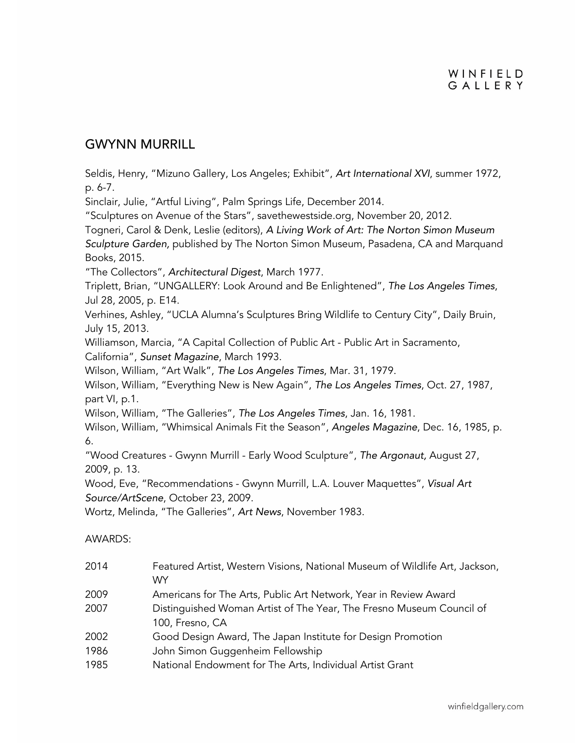Seldis, Henry, "Mizuno Gallery, Los Angeles; Exhibit", *Art International XVI*, summer 1972, p. 6-7.

Sinclair, Julie, "Artful Living", Palm Springs Life, December 2014.

"Sculptures on Avenue of the Stars", savethewestside.org, November 20, 2012.

Togneri, Carol & Denk, Leslie (editors), *A Living Work of Art: The Norton Simon Museum Sculpture Garden,* published by The Norton Simon Museum, Pasadena, CA and Marquand Books, 2015.

"The Collectors", *Architectural Digest*, March 1977.

Triplett, Brian, "UNGALLERY: Look Around and Be Enlightened", *The Los Angeles Times*, Jul 28, 2005, p. E14.

Verhines, Ashley, "UCLA Alumna's Sculptures Bring Wildlife to Century City", Daily Bruin, July 15, 2013.

Williamson, Marcia, "A Capital Collection of Public Art - Public Art in Sacramento, California", *Sunset Magazine*, March 1993.

Wilson, William, "Art Walk", *The Los Angeles Times*, Mar. 31, 1979.

Wilson, William, "Everything New is New Again", *The Los Angeles Times*, Oct. 27, 1987, part VI, p.1.

Wilson, William, "The Galleries", *The Los Angeles Times*, Jan. 16, 1981.

Wilson, William, "Whimsical Animals Fit the Season", *Angeles Magazine*, Dec. 16, 1985, p. 6.

"Wood Creatures - Gwynn Murrill - Early Wood Sculpture", *The Argonaut,* August 27, 2009, p. 13.

Wood, Eve, "Recommendations - Gwynn Murrill, L.A. Louver Maquettes", *Visual Art Source/ArtScene*, October 23, 2009.

Wortz, Melinda, "The Galleries", *Art News*, November 1983.

#### AWARDS:

| 2014 | Featured Artist, Western Visions, National Museum of Wildlife Art, Jackson, |
|------|-----------------------------------------------------------------------------|
|      | WY.                                                                         |
| 2009 | Americans for The Arts, Public Art Network, Year in Review Award            |
| 2007 | Distinguished Woman Artist of The Year, The Fresno Museum Council of        |
|      | 100, Fresno, CA                                                             |
| 2002 | Good Design Award, The Japan Institute for Design Promotion                 |
| 1986 | John Simon Guggenheim Fellowship                                            |
| 1985 | National Endowment for The Arts, Individual Artist Grant                    |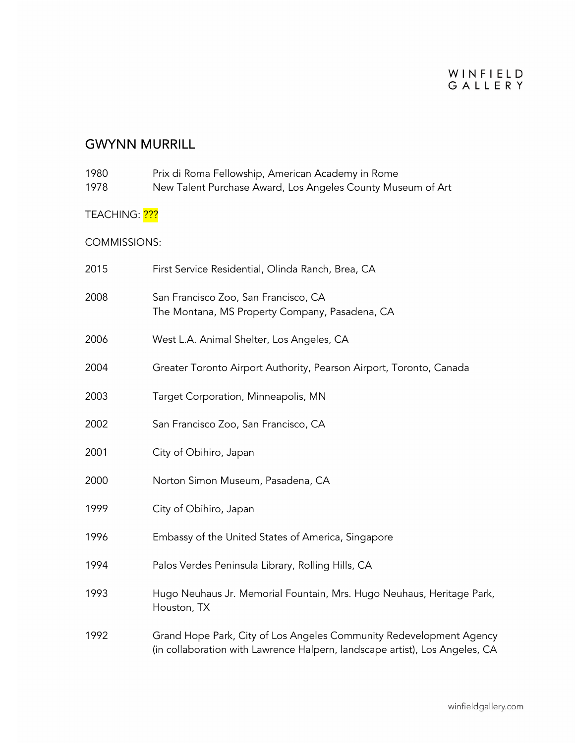| 1980<br>1978               | Prix di Roma Fellowship, American Academy in Rome<br>New Talent Purchase Award, Los Angeles County Museum of Art                                   |
|----------------------------|----------------------------------------------------------------------------------------------------------------------------------------------------|
| TEACHING: <mark>???</mark> |                                                                                                                                                    |
| <b>COMMISSIONS:</b>        |                                                                                                                                                    |
| 2015                       | First Service Residential, Olinda Ranch, Brea, CA                                                                                                  |
| 2008                       | San Francisco Zoo, San Francisco, CA<br>The Montana, MS Property Company, Pasadena, CA                                                             |
| 2006                       | West L.A. Animal Shelter, Los Angeles, CA                                                                                                          |
| 2004                       | Greater Toronto Airport Authority, Pearson Airport, Toronto, Canada                                                                                |
| 2003                       | Target Corporation, Minneapolis, MN                                                                                                                |
| 2002                       | San Francisco Zoo, San Francisco, CA                                                                                                               |
| 2001                       | City of Obihiro, Japan                                                                                                                             |
| 2000                       | Norton Simon Museum, Pasadena, CA                                                                                                                  |
| 1999                       | City of Obihiro, Japan                                                                                                                             |
| 1996                       | Embassy of the United States of America, Singapore                                                                                                 |
| 1994                       | Palos Verdes Peninsula Library, Rolling Hills, CA                                                                                                  |
| 1993                       | Hugo Neuhaus Jr. Memorial Fountain, Mrs. Hugo Neuhaus, Heritage Park,<br>Houston, TX                                                               |
| 1992                       | Grand Hope Park, City of Los Angeles Community Redevelopment Agency<br>(in collaboration with Lawrence Halpern, landscape artist), Los Angeles, CA |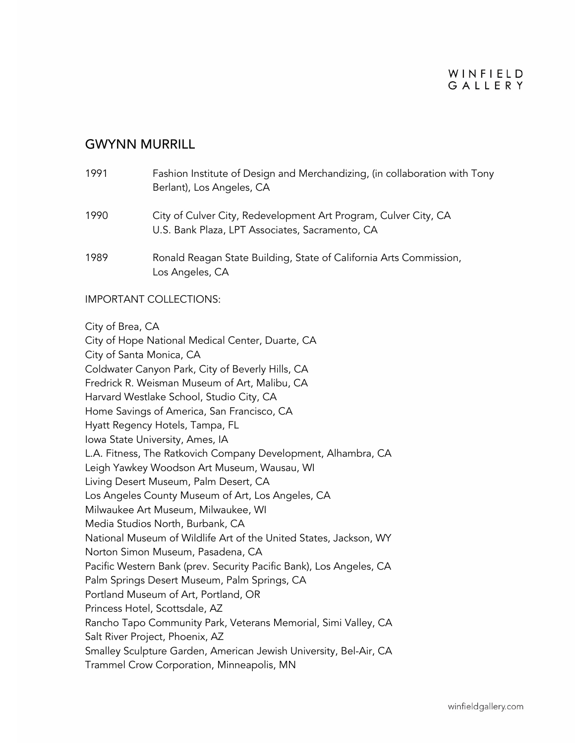### WINFIELD GAILERY

### GWYNN MURRILL

| 1991 | Fashion Institute of Design and Merchandizing, (in collaboration with Tony<br>Berlant), Los Angeles, CA            |
|------|--------------------------------------------------------------------------------------------------------------------|
| 1990 | City of Culver City, Redevelopment Art Program, Culver City, CA<br>U.S. Bank Plaza, LPT Associates, Sacramento, CA |
| 1989 | Ronald Reagan State Building, State of California Arts Commission,<br>Los Angeles, CA                              |

#### IMPORTANT COLLECTIONS:

City of Brea, CA

City of Hope National Medical Center, Duarte, CA City of Santa Monica, CA Coldwater Canyon Park, City of Beverly Hills, CA Fredrick R. Weisman Museum of Art, Malibu, CA Harvard Westlake School, Studio City, CA Home Savings of America, San Francisco, CA Hyatt Regency Hotels, Tampa, FL Iowa State University, Ames, IA L.A. Fitness, The Ratkovich Company Development, Alhambra, CA Leigh Yawkey Woodson Art Museum, Wausau, WI Living Desert Museum, Palm Desert, CA Los Angeles County Museum of Art, Los Angeles, CA Milwaukee Art Museum, Milwaukee, WI Media Studios North, Burbank, CA National Museum of Wildlife Art of the United States, Jackson, WY Norton Simon Museum, Pasadena, CA Pacific Western Bank (prev. Security Pacific Bank), Los Angeles, CA Palm Springs Desert Museum, Palm Springs, CA Portland Museum of Art, Portland, OR Princess Hotel, Scottsdale, AZ Rancho Tapo Community Park, Veterans Memorial, Simi Valley, CA Salt River Project, Phoenix, AZ Smalley Sculpture Garden, American Jewish University, Bel-Air, CA Trammel Crow Corporation, Minneapolis, MN